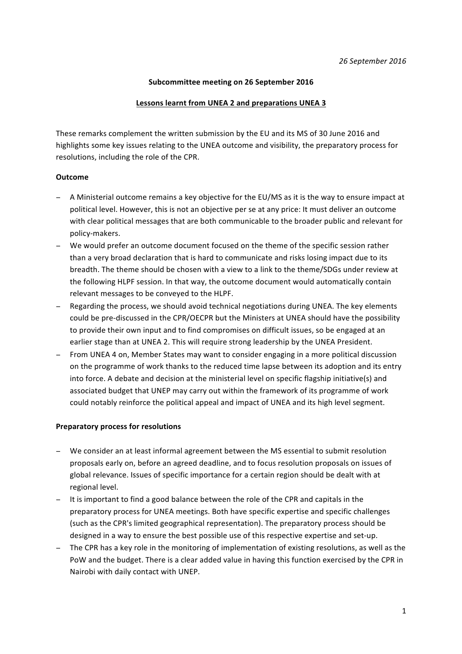## Subcommittee meeting on 26 September 2016

# **Lessons learnt from UNEA 2 and preparations UNEA 3**

These remarks complement the written submission by the EU and its MS of 30 June 2016 and highlights some key issues relating to the UNEA outcome and visibility, the preparatory process for resolutions, including the role of the CPR.

## **Outcome**

- A Ministerial outcome remains a key objective for the EU/MS as it is the way to ensure impact at political level. However, this is not an objective per se at any price: It must deliver an outcome with clear political messages that are both communicable to the broader public and relevant for policy-makers.
- − We would prefer an outcome document focused on the theme of the specific session rather than a very broad declaration that is hard to communicate and risks losing impact due to its breadth. The theme should be chosen with a view to a link to the theme/SDGs under review at the following HLPF session. In that way, the outcome document would automatically contain relevant messages to be conveyed to the HLPF.
- Regarding the process, we should avoid technical negotiations during UNEA. The key elements could be pre-discussed in the CPR/OECPR but the Ministers at UNEA should have the possibility to provide their own input and to find compromises on difficult issues, so be engaged at an earlier stage than at UNEA 2. This will require strong leadership by the UNEA President.
- − From UNEA 4 on, Member States may want to consider engaging in a more political discussion on the programme of work thanks to the reduced time lapse between its adoption and its entry into force. A debate and decision at the ministerial level on specific flagship initiative(s) and associated budget that UNEP may carry out within the framework of its programme of work could notably reinforce the political appeal and impact of UNEA and its high level segment.

#### **Preparatory process for resolutions**

- − We consider an at least informal agreement between the MS essential to submit resolution proposals early on, before an agreed deadline, and to focus resolution proposals on issues of global relevance. Issues of specific importance for a certain region should be dealt with at regional level.
- − It is important to find a good balance between the role of the CPR and capitals in the preparatory process for UNEA meetings. Both have specific expertise and specific challenges (such as the CPR's limited geographical representation). The preparatory process should be designed in a way to ensure the best possible use of this respective expertise and set-up.
- − The CPR has a key role in the monitoring of implementation of existing resolutions, as well as the PoW and the budget. There is a clear added value in having this function exercised by the CPR in Nairobi with daily contact with UNEP.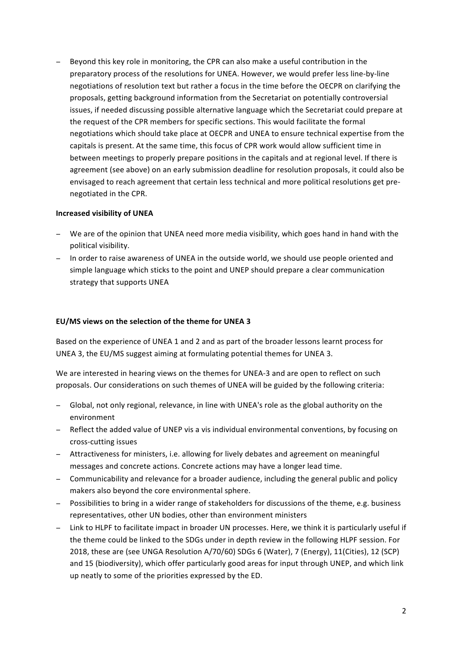− Beyond this key role in monitoring, the CPR can also make a useful contribution in the preparatory process of the resolutions for UNEA. However, we would prefer less line-by-line negotiations of resolution text but rather a focus in the time before the OECPR on clarifying the proposals, getting background information from the Secretariat on potentially controversial issues, if needed discussing possible alternative language which the Secretariat could prepare at the request of the CPR members for specific sections. This would facilitate the formal negotiations which should take place at OECPR and UNEA to ensure technical expertise from the capitals is present. At the same time, this focus of CPR work would allow sufficient time in between meetings to properly prepare positions in the capitals and at regional level. If there is agreement (see above) on an early submission deadline for resolution proposals, it could also be envisaged to reach agreement that certain less technical and more political resolutions get prenegotiated in the CPR.

## **Increased visibility of UNEA**

- − We are of the opinion that UNEA need more media visibility, which goes hand in hand with the political visibility.
- − In order to raise awareness of UNEA in the outside world, we should use people oriented and simple language which sticks to the point and UNEP should prepare a clear communication strategy that supports UNEA

# **EU/MS** views on the selection of the theme for UNEA 3

Based on the experience of UNEA 1 and 2 and as part of the broader lessons learnt process for UNEA 3, the EU/MS suggest aiming at formulating potential themes for UNEA 3.

We are interested in hearing views on the themes for UNEA-3 and are open to reflect on such proposals. Our considerations on such themes of UNEA will be guided by the following criteria:

- − Global, not only regional, relevance, in line with UNEA's role as the global authority on the environment
- − Reflect the added value of UNEP vis a vis individual environmental conventions, by focusing on cross-cutting issues
- − Attractiveness for ministers, i.e. allowing for lively debates and agreement on meaningful messages and concrete actions. Concrete actions may have a longer lead time.
- − Communicability and relevance for a broader audience, including the general public and policy makers also beyond the core environmental sphere.
- − Possibilities to bring in a wider range of stakeholders for discussions of the theme, e.g. business representatives, other UN bodies, other than environment ministers
- − Link to HLPF to facilitate impact in broader UN processes. Here, we think it is particularly useful if the theme could be linked to the SDGs under in depth review in the following HLPF session. For 2018, these are (see UNGA Resolution A/70/60) SDGs 6 (Water), 7 (Energy), 11(Cities), 12 (SCP) and 15 (biodiversity), which offer particularly good areas for input through UNEP, and which link up neatly to some of the priorities expressed by the ED.